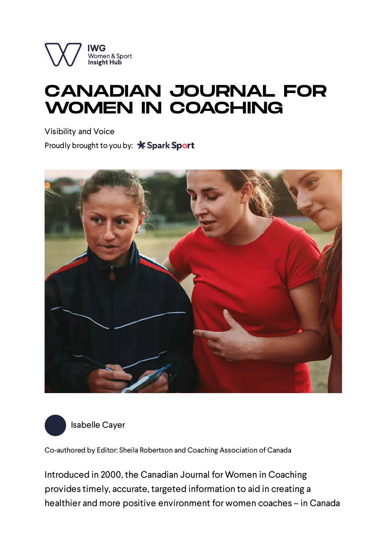

## CANADIAN JOURNAL FOR WOMEN IN COACHING

Visibility and Voice Proudly brought to you by: \* Spark Sport





[Isabelle](https://iwginsighthubfull.7.deploy.net.nz/profile/isabelle-cayer) Cayer

Co-authored by Editor: Sheila Robertson and Coaching Association of Canada

Introduced in 2000, the Canadian Journal for Women in Coaching provides timely, accurate, targeted information to aid in creating a healthier and more positive environment for women coaches – in Canada